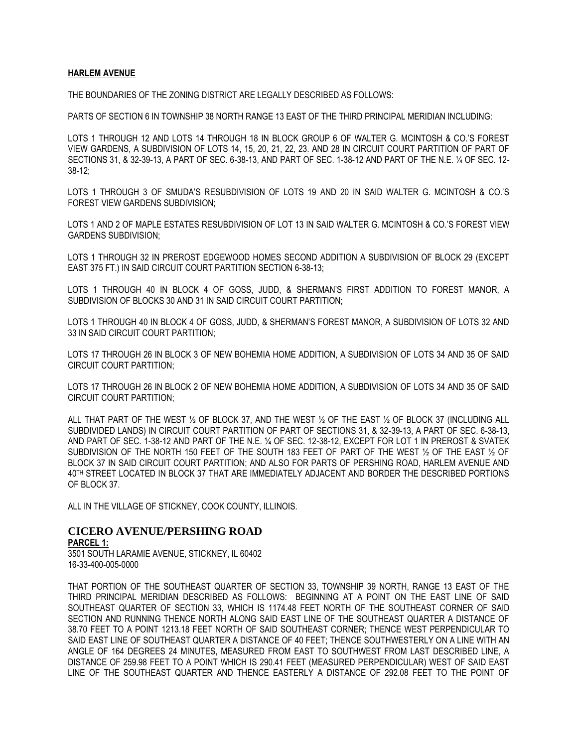## **HARLEM AVENUE**

THE BOUNDARIES OF THE ZONING DISTRICT ARE LEGALLY DESCRIBED AS FOLLOWS:

PARTS OF SECTION 6 IN TOWNSHIP 38 NORTH RANGE 13 EAST OF THE THIRD PRINCIPAL MERIDIAN INCLUDING:

LOTS 1 THROUGH 12 AND LOTS 14 THROUGH 18 IN BLOCK GROUP 6 OF WALTER G. MCINTOSH & CO.'S FOREST VIEW GARDENS, A SUBDIVISION OF LOTS 14, 15, 20, 21, 22, 23. AND 28 IN CIRCUIT COURT PARTITION OF PART OF SECTIONS 31, & 32-39-13, A PART OF SEC. 6-38-13, AND PART OF SEC. 1-38-12 AND PART OF THE N.E. ¼ OF SEC. 12- 38-12;

LOTS 1 THROUGH 3 OF SMUDA'S RESUBDIVISION OF LOTS 19 AND 20 IN SAID WALTER G. MCINTOSH & CO.'S FOREST VIEW GARDENS SUBDIVISION;

LOTS 1 AND 2 OF MAPLE ESTATES RESUBDIVISION OF LOT 13 IN SAID WALTER G. MCINTOSH & CO.'S FOREST VIEW GARDENS SUBDIVISION;

LOTS 1 THROUGH 32 IN PREROST EDGEWOOD HOMES SECOND ADDITION A SUBDIVISION OF BLOCK 29 (EXCEPT EAST 375 FT.) IN SAID CIRCUIT COURT PARTITION SECTION 6-38-13;

LOTS 1 THROUGH 40 IN BLOCK 4 OF GOSS, JUDD, & SHERMAN'S FIRST ADDITION TO FOREST MANOR, A SUBDIVISION OF BLOCKS 30 AND 31 IN SAID CIRCUIT COURT PARTITION;

LOTS 1 THROUGH 40 IN BLOCK 4 OF GOSS, JUDD, & SHERMAN'S FOREST MANOR, A SUBDIVISION OF LOTS 32 AND 33 IN SAID CIRCUIT COURT PARTITION;

LOTS 17 THROUGH 26 IN BLOCK 3 OF NEW BOHEMIA HOME ADDITION, A SUBDIVISION OF LOTS 34 AND 35 OF SAID CIRCUIT COURT PARTITION;

LOTS 17 THROUGH 26 IN BLOCK 2 OF NEW BOHEMIA HOME ADDITION, A SUBDIVISION OF LOTS 34 AND 35 OF SAID CIRCUIT COURT PARTITION;

ALL THAT PART OF THE WEST ½ OF BLOCK 37, AND THE WEST ½ OF THE EAST ½ OF BLOCK 37 (INCLUDING ALL SUBDIVIDED LANDS) IN CIRCUIT COURT PARTITION OF PART OF SECTIONS 31, & 32-39-13, A PART OF SEC. 6-38-13, AND PART OF SEC. 1-38-12 AND PART OF THE N.E. ¼ OF SEC. 12-38-12, EXCEPT FOR LOT 1 IN PREROST & SVATEK SUBDIVISION OF THE NORTH 150 FEET OF THE SOUTH 183 FEET OF PART OF THE WEST ½ OF THE EAST ½ OF BLOCK 37 IN SAID CIRCUIT COURT PARTITION; AND ALSO FOR PARTS OF PERSHING ROAD, HARLEM AVENUE AND 40TH STREET LOCATED IN BLOCK 37 THAT ARE IMMEDIATELY ADJACENT AND BORDER THE DESCRIBED PORTIONS OF BLOCK 37.

ALL IN THE VILLAGE OF STICKNEY, COOK COUNTY, ILLINOIS.

# **CICERO AVENUE/PERSHING ROAD**

**PARCEL 1:** 3501 SOUTH LARAMIE AVENUE, STICKNEY, IL 60402

16-33-400-005-0000

THAT PORTION OF THE SOUTHEAST QUARTER OF SECTION 33, TOWNSHIP 39 NORTH, RANGE 13 EAST OF THE THIRD PRINCIPAL MERIDIAN DESCRIBED AS FOLLOWS: BEGINNING AT A POINT ON THE EAST LINE OF SAID SOUTHEAST QUARTER OF SECTION 33, WHICH IS 1174.48 FEET NORTH OF THE SOUTHEAST CORNER OF SAID SECTION AND RUNNING THENCE NORTH ALONG SAID EAST LINE OF THE SOUTHEAST QUARTER A DISTANCE OF 38.70 FEET TO A POINT 1213.18 FEET NORTH OF SAID SOUTHEAST CORNER; THENCE WEST PERPENDICULAR TO SAID EAST LINE OF SOUTHEAST QUARTER A DISTANCE OF 40 FEET; THENCE SOUTHWESTERLY ON A LINE WITH AN ANGLE OF 164 DEGREES 24 MINUTES, MEASURED FROM EAST TO SOUTHWEST FROM LAST DESCRIBED LINE, A DISTANCE OF 259.98 FEET TO A POINT WHICH IS 290.41 FEET (MEASURED PERPENDICULAR) WEST OF SAID EAST LINE OF THE SOUTHEAST QUARTER AND THENCE EASTERLY A DISTANCE OF 292.08 FEET TO THE POINT OF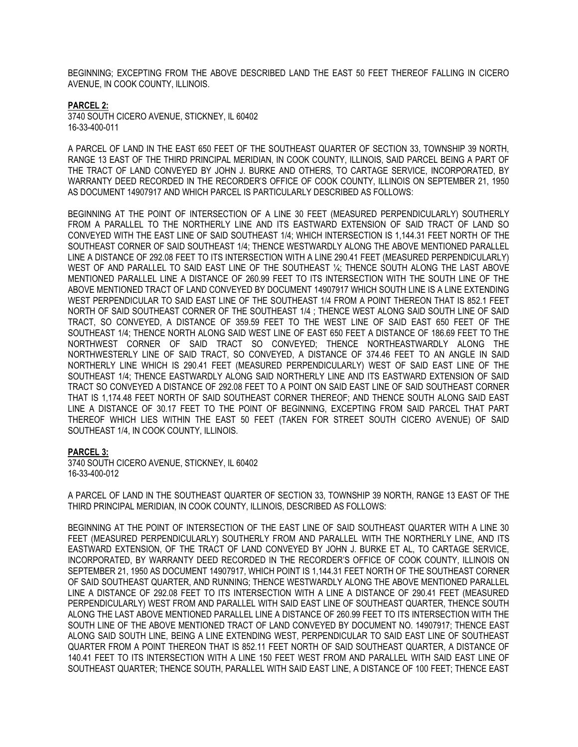BEGINNING; EXCEPTING FROM THE ABOVE DESCRIBED LAND THE EAST 50 FEET THEREOF FALLING IN CICERO AVENUE, IN COOK COUNTY, ILLINOIS.

# **PARCEL 2:**

3740 SOUTH CICERO AVENUE, STICKNEY, IL 60402 16-33-400-011

A PARCEL OF LAND IN THE EAST 650 FEET OF THE SOUTHEAST QUARTER OF SECTION 33, TOWNSHIP 39 NORTH, RANGE 13 EAST OF THE THIRD PRINCIPAL MERIDIAN, IN COOK COUNTY, ILLINOIS, SAID PARCEL BEING A PART OF THE TRACT OF LAND CONVEYED BY JOHN J. BURKE AND OTHERS, TO CARTAGE SERVICE, INCORPORATED, BY WARRANTY DEED RECORDED IN THE RECORDER'S OFFICE OF COOK COUNTY, ILLINOIS ON SEPTEMBER 21, 1950 AS DOCUMENT 14907917 AND WHICH PARCEL IS PARTICULARLY DESCRIBED AS FOLLOWS:

BEGINNING AT THE POINT OF INTERSECTION OF A LINE 30 FEET (MEASURED PERPENDICULARLY) SOUTHERLY FROM A PARALLEL TO THE NORTHERLY LINE AND ITS EASTWARD EXTENSION OF SAID TRACT OF LAND SO CONVEYED WITH THE EAST LINE OF SAID SOUTHEAST 1/4; WHICH INTERSECTION IS 1,144.31 FEET NORTH OF THE SOUTHEAST CORNER OF SAID SOUTHEAST 1/4; THENCE WESTWARDLY ALONG THE ABOVE MENTIONED PARALLEL LINE A DISTANCE OF 292.08 FEET TO ITS INTERSECTION WITH A LINE 290.41 FEET (MEASURED PERPENDICULARLY) WEST OF AND PARALLEL TO SAID EAST LINE OF THE SOUTHEAST 1/4; THENCE SOUTH ALONG THE LAST ABOVE MENTIONED PARALLEL LINE A DISTANCE OF 260.99 FEET TO ITS INTERSECTION WITH THE SOUTH LINE OF THE ABOVE MENTIONED TRACT OF LAND CONVEYED BY DOCUMENT 14907917 WHICH SOUTH LINE IS A LINE EXTENDING WEST PERPENDICULAR TO SAID EAST LINE OF THE SOUTHEAST 1/4 FROM A POINT THEREON THAT IS 852.1 FEET NORTH OF SAID SOUTHEAST CORNER OF THE SOUTHEAST 1/4 ; THENCE WEST ALONG SAID SOUTH LINE OF SAID TRACT, SO CONVEYED, A DISTANCE OF 359.59 FEET TO THE WEST LINE OF SAID EAST 650 FEET OF THE SOUTHEAST 1/4; THENCE NORTH ALONG SAID WEST LINE OF EAST 650 FEET A DISTANCE OF 186.69 FEET TO THE NORTHWEST CORNER OF SAID TRACT SO CONVEYED; THENCE NORTHEASTWARDLY ALONG THE NORTHWESTERLY LINE OF SAID TRACT, SO CONVEYED, A DISTANCE OF 374.46 FEET TO AN ANGLE IN SAID NORTHERLY LINE WHICH IS 290.41 FEET (MEASURED PERPENDICULARLY) WEST OF SAID EAST LINE OF THE SOUTHEAST 1/4; THENCE EASTWARDLY ALONG SAID NORTHERLY LINE AND ITS EASTWARD EXTENSION OF SAID TRACT SO CONVEYED A DISTANCE OF 292.08 FEET TO A POINT ON SAID EAST LINE OF SAID SOUTHEAST CORNER THAT IS 1,174.48 FEET NORTH OF SAID SOUTHEAST CORNER THEREOF; AND THENCE SOUTH ALONG SAID EAST LINE A DISTANCE OF 30.17 FEET TO THE POINT OF BEGINNING, EXCEPTING FROM SAID PARCEL THAT PART THEREOF WHICH LIES WITHIN THE EAST 50 FEET (TAKEN FOR STREET SOUTH CICERO AVENUE) OF SAID SOUTHEAST 1/4, IN COOK COUNTY, ILLINOIS.

# **PARCEL 3:**

3740 SOUTH CICERO AVENUE, STICKNEY, IL 60402 16-33-400-012

A PARCEL OF LAND IN THE SOUTHEAST QUARTER OF SECTION 33, TOWNSHIP 39 NORTH, RANGE 13 EAST OF THE THIRD PRINCIPAL MERIDIAN, IN COOK COUNTY, ILLINOIS, DESCRIBED AS FOLLOWS:

BEGINNING AT THE POINT OF INTERSECTION OF THE EAST LINE OF SAID SOUTHEAST QUARTER WITH A LINE 30 FEET (MEASURED PERPENDICULARLY) SOUTHERLY FROM AND PARALLEL WITH THE NORTHERLY LINE, AND ITS EASTWARD EXTENSION, OF THE TRACT OF LAND CONVEYED BY JOHN J. BURKE ET AL, TO CARTAGE SERVICE, INCORPORATED, BY WARRANTY DEED RECORDED IN THE RECORDER'S OFFICE OF COOK COUNTY, ILLINOIS ON SEPTEMBER 21, 1950 AS DOCUMENT 14907917, WHICH POINT IS 1,144.31 FEET NORTH OF THE SOUTHEAST CORNER OF SAID SOUTHEAST QUARTER, AND RUNNING; THENCE WESTWARDLY ALONG THE ABOVE MENTIONED PARALLEL LINE A DISTANCE OF 292.08 FEET TO ITS INTERSECTION WITH A LINE A DISTANCE OF 290.41 FEET (MEASURED PERPENDICULARLY) WEST FROM AND PARALLEL WITH SAID EAST LINE OF SOUTHEAST QUARTER, THENCE SOUTH ALONG THE LAST ABOVE MENTIONED PARALLEL LINE A DISTANCE OF 260.99 FEET TO ITS INTERSECTION WITH THE SOUTH LINE OF THE ABOVE MENTIONED TRACT OF LAND CONVEYED BY DOCUMENT NO. 14907917; THENCE EAST ALONG SAID SOUTH LINE, BEING A LINE EXTENDING WEST, PERPENDICULAR TO SAID EAST LINE OF SOUTHEAST QUARTER FROM A POINT THEREON THAT IS 852.11 FEET NORTH OF SAID SOUTHEAST QUARTER, A DISTANCE OF 140.41 FEET TO ITS INTERSECTION WITH A LINE 150 FEET WEST FROM AND PARALLEL WITH SAID EAST LINE OF SOUTHEAST QUARTER; THENCE SOUTH, PARALLEL WITH SAID EAST LINE, A DISTANCE OF 100 FEET; THENCE EAST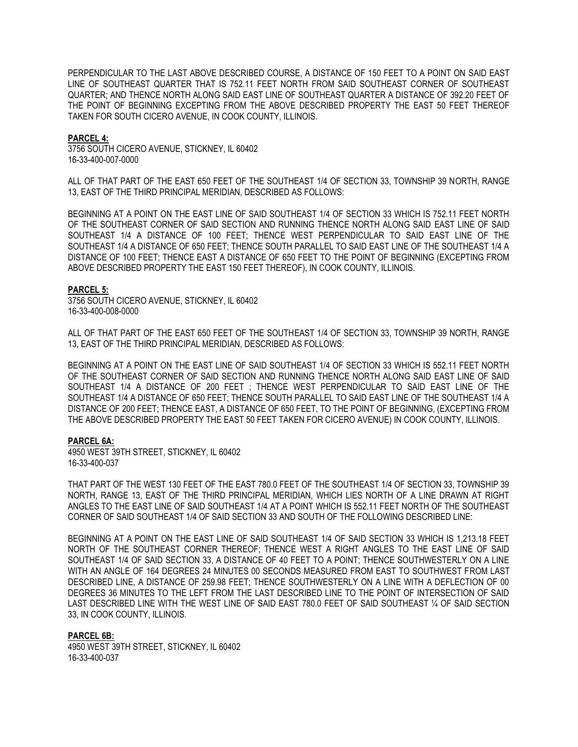PERPENDICULAR TO THE LAST ABOVE DESCRIBED COURSE, A DISTANCE OF 150 FEET TO A POINT ON SAID EAST LINE OF SOUTHEAST QUARTER THAT IS 752.11 FEET NORTH FROM SAID SOUTHEAST CORNER OF SOUTHEAST QUARTER; AND THENCE NORTH ALONG SAID EAST LINE OF SOUTHEAST QUARTER A DISTANCE OF 392.20 FEET OF THE POINT OF BEGINNING EXCEPTING FROM THE ABOVE DESCRIBED PROPERTY THE EAST 50 FEET THEREOF TAKEN FOR SOUTH CICERO AVENUE, IN COOK COUNTY, ILLINOIS.

## **PARCEL 4:**

3756 SOUTH CICERO AVENUE, STICKNEY, IL 60402 16-33-400-007-0000

ALL OF THAT PART OF THE EAST 650 FEET OF THE SOUTHEAST 1/4 OF SECTION 33, TOWNSHIP 39 NORTH, RANGE 13, EAST OF THE THIRD PRINCIPAL MERIDIAN, DESCRIBED AS FOLLOWS:

BEGINNING AT A POINT ON THE EAST LINE OF SAID SOUTHEAST 1/4 OF SECTION 33 WHICH IS 752.11 FEET NORTH OF THE SOUTHEAST CORNER OF SAID SECTION AND RUNNING THENCE NORTH ALONG SAID EAST LINE OF SAID SOUTHEAST 1/4 A DISTANCE OF 100 FEET; THENCE WEST PERPENDICULAR TO SAID EAST LINE OF THE SOUTHEAST 1/4 A DISTANCE OF 650 FEET; THENCE SOUTH PARALLEL TO SAID EAST LINE OF THE SOUTHEAST 1/4 A DISTANCE OF 100 FEET; THENCE EAST A DISTANCE OF 650 FEET TO THE POINT OF BEGINNING (EXCEPTING FROM ABOVE DESCRIBED PROPERTY THE EAST 150 FEET THEREOF), IN COOK COUNTY, ILLINOIS.

#### **PARCEL 5:**

3756 SOUTH CICERO AVENUE, STICKNEY, IL 60402 16-33-400-008-0000

ALL OF THAT PART OF THE EAST 650 FEET OF THE SOUTHEAST 1/4 OF SECTION 33, TOWNSHIP 39 NORTH, RANGE 13, EAST OF THE THIRD PRINCIPAL MERIDIAN, DESCRIBED AS FOLLOWS:

BEGINNING AT A POINT ON THE EAST LINE OF SAID SOUTHEAST 1/4 OF SECTION 33 WHICH IS 552.11 FEET NORTH OF THE SOUTHEAST CORNER OF SAID SECTION AND RUNNING THENCE NORTH ALONG SAID EAST LINE OF SAID SOUTHEAST 1/4 A DISTANCE OF 200 FEET ; THENCE WEST PERPENDICULAR TO SAID EAST LINE OF THE SOUTHEAST 1/4 A DISTANCE OF 650 FEET; THENCE SOUTH PARALLEL TO SAID EAST LINE OF THE SOUTHEAST 1/4 A DISTANCE OF 200 FEET; THENCE EAST, A DISTANCE OF 650 FEET, TO THE POINT OF BEGINNING, (EXCEPTING FROM THE ABOVE DESCRIBED PROPERTY THE EAST 50 FEET TAKEN FOR CICERO AVENUE) IN COOK COUNTY, ILLINOIS.

#### **PARCEL 6A:**

4950 WEST 39TH STREET, STICKNEY, IL 60402 16-33-400-037

THAT PART OF THE WEST 130 FEET OF THE EAST 780.0 FEET OF THE SOUTHEAST 1/4 OF SECTION 33, TOWNSHIP 39 NORTH, RANGE 13, EAST OF THE THIRD PRINCIPAL MERIDIAN, WHICH LIES NORTH OF A LINE DRAWN AT RIGHT ANGLES TO THE EAST LINE OF SAID SOUTHEAST 1/4 AT A POINT WHICH IS 552.11 FEET NORTH OF THE SOUTHEAST CORNER OF SAID SOUTHEAST 1/4 OF SAID SECTION 33 AND SOUTH OF THE FOLLOWING DESCRIBED LINE:

BEGINNING AT A POINT ON THE EAST LINE OF SAID SOUTHEAST 1/4 OF SAID SECTION 33 WHICH IS 1,213.18 FEET NORTH OF THE SOUTHEAST CORNER THEREOF; THENCE WEST A RIGHT ANGLES TO THE EAST LINE OF SAID SOUTHEAST 1/4 OF SAID SECTION 33, A DISTANCE OF 40 FEET TO A POINT; THENCE SOUTHWESTERLY ON A LINE WITH AN ANGLE OF 164 DEGREES 24 MINUTES 00 SECONDS MEASURED FROM EAST TO SOUTHWEST FROM LAST DESCRIBED LINE, A DISTANCE OF 259.98 FEET; THENCE SOUTHWESTERLY ON A LINE WITH A DEFLECTION OF 00 DEGREES 36 MINUTES TO THE LEFT FROM THE LAST DESCRIBED LINE TO THE POINT OF INTERSECTION OF SAID LAST DESCRIBED LINE WITH THE WEST LINE OF SAID EAST 780.0 FEET OF SAID SOUTHEAST ¼ OF SAID SECTION 33, IN COOK COUNTY, ILLINOIS.

#### **PARCEL 6B:**

4950 WEST 39TH STREET, STICKNEY, IL 60402 16-33-400-037